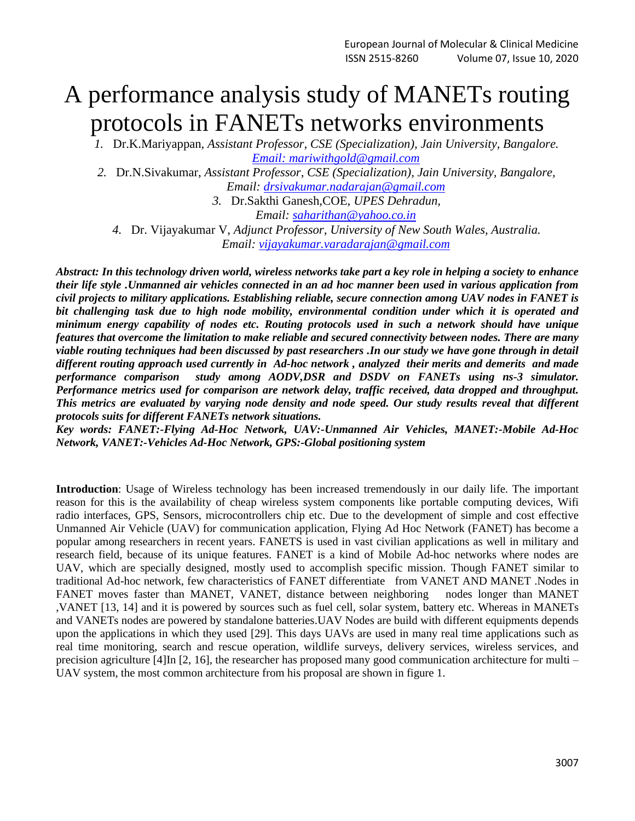# A performance analysis study of MANETs routing protocols in FANETs networks environments

*1.* Dr.K.Mariyappan, *Assistant Professor, CSE (Specialization), Jain University, Bangalore. Email: [mariwithgold@gmail.com](mailto:mariwithgold@gmail.com)*

*2.* Dr.N.Sivakumar, *Assistant Professor, CSE (Specialization), Jain University, Bangalore, Email: [drsivakumar.nadarajan@gmail.com](mailto:drsivakumar.nadarajan@gmail.com)*

*3.* Dr.Sakthi Ganesh,COE, *UPES Dehradun,*

*Email: [saharithan@yahoo.co.in](mailto:saharithan@yahoo.co.in)*

*4.* Dr. Vijayakumar V, *Adjunct Professor, University of New South Wales, Australia. Email: [vijayakumar.varadarajan@gmail.com](mailto:vijayakumar.varadarajan@gmail.com)*

*Abstract: In this technology driven world, wireless networks take part a key role in helping a society to enhance their life style .Unmanned air vehicles connected in an ad hoc manner been used in various application from civil projects to military applications. Establishing reliable, secure connection among UAV nodes in FANET is bit challenging task due to high node mobility, environmental condition under which it is operated and minimum energy capability of nodes etc. Routing protocols used in such a network should have unique features that overcome the limitation to make reliable and secured connectivity between nodes. There are many viable routing techniques had been discussed by past researchers .In our study we have gone through in detail different routing approach used currently in Ad-hoc network , analyzed their merits and demerits and made performance comparison study among AODV,DSR and DSDV on FANETs using ns-3 simulator. Performance metrics used for comparison are network delay, traffic received, data dropped and throughput. This metrics are evaluated by varying node density and node speed. Our study results reveal that different protocols suits for different FANETs network situations.*

*Key words: FANET:-Flying Ad-Hoc Network, UAV:-Unmanned Air Vehicles, MANET:-Mobile Ad-Hoc Network, VANET:-Vehicles Ad-Hoc Network, GPS:-Global positioning system*

**Introduction**: Usage of Wireless technology has been increased tremendously in our daily life. The important reason for this is the availability of cheap wireless system components like portable computing devices, Wifi radio interfaces, GPS, Sensors, microcontrollers chip etc. Due to the development of simple and cost effective Unmanned Air Vehicle (UAV) for communication application, Flying Ad Hoc Network (FANET) has become a popular among researchers in recent years. FANETS is used in vast civilian applications as well in military and research field, because of its unique features. FANET is a kind of Mobile Ad-hoc networks where nodes are UAV, which are specially designed, mostly used to accomplish specific mission. Though FANET similar to traditional Ad-hoc network, few characteristics of FANET differentiate from VANET AND MANET .Nodes in FANET moves faster than MANET, VANET, distance between neighboring nodes longer than MANET ,VANET [13, 14] and it is powered by sources such as fuel cell, solar system, battery etc. Whereas in MANETs and VANETs nodes are powered by standalone batteries.UAV Nodes are build with different equipments depends upon the applications in which they used [29]. This days UAVs are used in many real time applications such as real time monitoring, search and rescue operation, wildlife surveys, delivery services, wireless services, and precision agriculture [4]In [2, 16], the researcher has proposed many good communication architecture for multi – UAV system, the most common architecture from his proposal are shown in figure 1.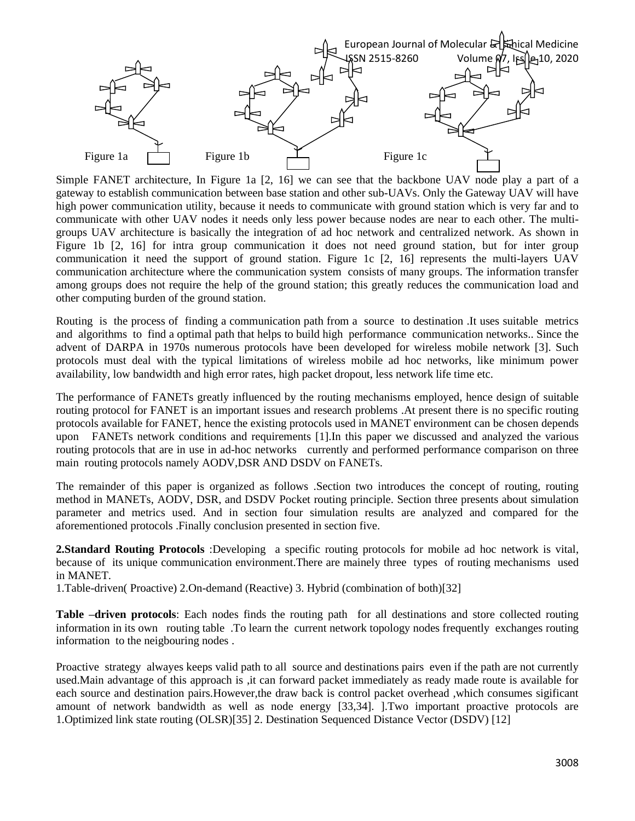

Simple FANET architecture, In Figure 1a [2, 16] we can see that the backbone UAV node play a part of a gateway to establish communication between base station and other sub-UAVs. Only the Gateway UAV will have high power communication utility, because it needs to communicate with ground station which is very far and to communicate with other UAV nodes it needs only less power because nodes are near to each other. The multigroups UAV architecture is basically the integration of ad hoc network and centralized network. As shown in Figure 1b [2, 16] for intra group communication it does not need ground station, but for inter group communication it need the support of ground station. Figure 1c [2, 16] represents the multi-layers UAV communication architecture where the communication system consists of many groups. The information transfer among groups does not require the help of the ground station; this greatly reduces the communication load and other computing burden of the ground station.

Routing is the process of finding a communication path from a source to destination .It uses suitable metrics and algorithms to find a optimal path that helps to build high performance communication networks.. Since the advent of DARPA in 1970s numerous protocols have been developed for wireless mobile network [3]. Such protocols must deal with the typical limitations of wireless mobile ad hoc networks, like minimum power availability, low bandwidth and high error rates, high packet dropout, less network life time etc.

The performance of FANETs greatly influenced by the routing mechanisms employed, hence design of suitable routing protocol for FANET is an important issues and research problems .At present there is no specific routing protocols available for FANET, hence the existing protocols used in MANET environment can be chosen depends upon FANETs network conditions and requirements [1].In this paper we discussed and analyzed the various routing protocols that are in use in ad-hoc networks currently and performed performance comparison on three main routing protocols namely AODV,DSR AND DSDV on FANETs.

The remainder of this paper is organized as follows .Section two introduces the concept of routing, routing method in MANETs, AODV, DSR, and DSDV Pocket routing principle. Section three presents about simulation parameter and metrics used. And in section four simulation results are analyzed and compared for the aforementioned protocols .Finally conclusion presented in section five.

**2.Standard Routing Protocols** :Developing a specific routing protocols for mobile ad hoc network is vital, because of its unique communication environment.There are mainely three types of routing mechanisms used in MANET.

1.Table-driven( Proactive) 2.On-demand (Reactive) 3. Hybrid (combination of both)[32]

**Table –driven protocols**: Each nodes finds the routing path for all destinations and store collected routing information in its own routing table .To learn the current network topology nodes frequently exchanges routing information to the neigbouring nodes .

Proactive strategy alwayes keeps valid path to all source and destinations pairs even if the path are not currently used.Main advantage of this approach is ,it can forward packet immediately as ready made route is available for each source and destination pairs.However,the draw back is control packet overhead ,which consumes sigificant amount of network bandwidth as well as node energy [33,34]. ].Two important proactive protocols are 1.Optimized link state routing (OLSR)[35] 2. Destination Sequenced Distance Vector (DSDV) [12]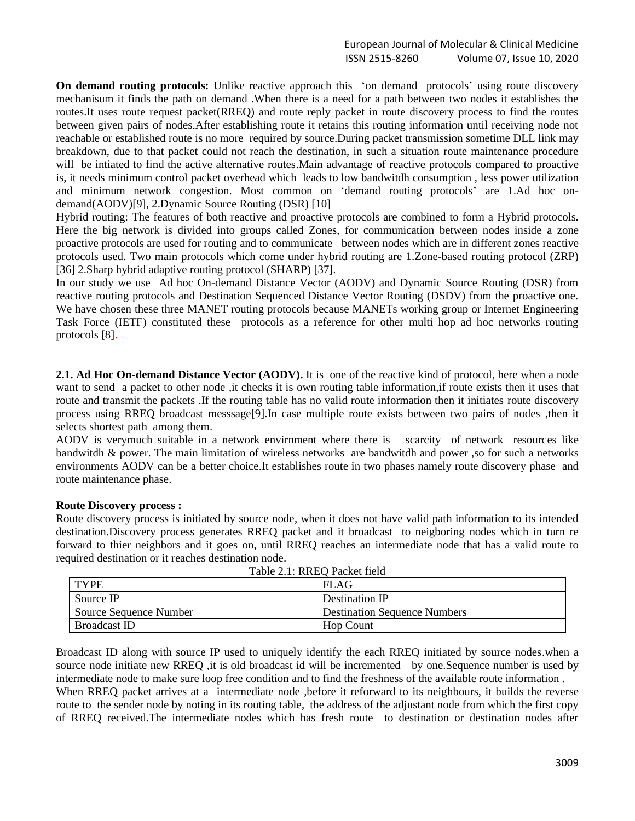## European Journal of Molecular & Clinical Medicine ISSN 2515-8260 Volume 07, Issue 10, 2020

**On demand routing protocols:** Unlike reactive approach this 'on demand protocols' using route discovery mechanisum it finds the path on demand .When there is a need for a path between two nodes it establishes the routes.It uses route request packet(RREQ) and route reply packet in route discovery process to find the routes between given pairs of nodes.After establishing route it retains this routing information until receiving node not reachable or established route is no more required by source.During packet transmission sometime DLL link may breakdown, due to that packet could not reach the destination, in such a situation route maintenance procedure will be intiated to find the active alternative routes.Main advantage of reactive protocols compared to proactive is, it needs minimum control packet overhead which leads to low bandwitdh consumption , less power utilization and minimum network congestion. Most common on 'demand routing protocols' are 1.Ad hoc ondemand(AODV)[9], 2.Dynamic Source Routing (DSR) [10]

Hybrid routing: The features of both reactive and proactive protocols are combined to form a Hybrid protocols**.** Here the big network is divided into groups called Zones, for communication between nodes inside a zone proactive protocols are used for routing and to communicate between nodes which are in different zones reactive protocols used. Two main protocols which come under hybrid routing are 1.Zone-based routing protocol (ZRP) [36] 2.Sharp hybrid adaptive routing protocol (SHARP) [37].

In our study we use Ad hoc On-demand Distance Vector (AODV) and Dynamic Source Routing (DSR) from reactive routing protocols and Destination Sequenced Distance Vector Routing (DSDV) from the proactive one. We have chosen these three MANET routing protocols because MANETs working group or Internet Engineering Task Force (IETF) constituted these protocols as a reference for other multi hop ad hoc networks routing protocols [8].

**2.1. Ad Hoc On-demand Distance Vector (AODV).** It is one of the reactive kind of protocol, here when a node want to send a packet to other node ,it checks it is own routing table information,if route exists then it uses that route and transmit the packets .If the routing table has no valid route information then it initiates route discovery process using RREQ broadcast messsage[9].In case multiple route exists between two pairs of nodes ,then it selects shortest path among them.

AODV is verymuch suitable in a network envirnment where there is scarcity of network resources like bandwitdh & power. The main limitation of wireless networks are bandwitdh and power ,so for such a networks environments AODV can be a better choice.It establishes route in two phases namely route discovery phase and route maintenance phase.

#### **Route Discovery process :**

Route discovery process is initiated by source node, when it does not have valid path information to its intended destination.Discovery process generates RREQ packet and it broadcast to neigboring nodes which in turn re forward to thier neighbors and it goes on, until RREQ reaches an intermediate node that has a valid route to required destination or it reaches destination node.

| Table 2.1: RREO Packet Held |                                     |  |  |
|-----------------------------|-------------------------------------|--|--|
| <b>TYPE</b>                 | FLAG                                |  |  |
| Source IP                   | Destination IP                      |  |  |
| Source Sequence Number      | <b>Destination Sequence Numbers</b> |  |  |
| <b>Broadcast ID</b>         | <b>Hop Count</b>                    |  |  |

Table 2.1: RREQ Packet field

Broadcast ID along with source IP used to uniquely identify the each RREQ initiated by source nodes.when a source node initiate new RREQ , it is old broadcast id will be incremented by one. Sequence number is used by intermediate node to make sure loop free condition and to find the freshness of the available route information . When RREQ packet arrives at a intermediate node, before it reforward to its neighbours, it builds the reverse route to the sender node by noting in its routing table, the address of the adjustant node from which the first copy of RREQ received.The intermediate nodes which has fresh route to destination or destination nodes after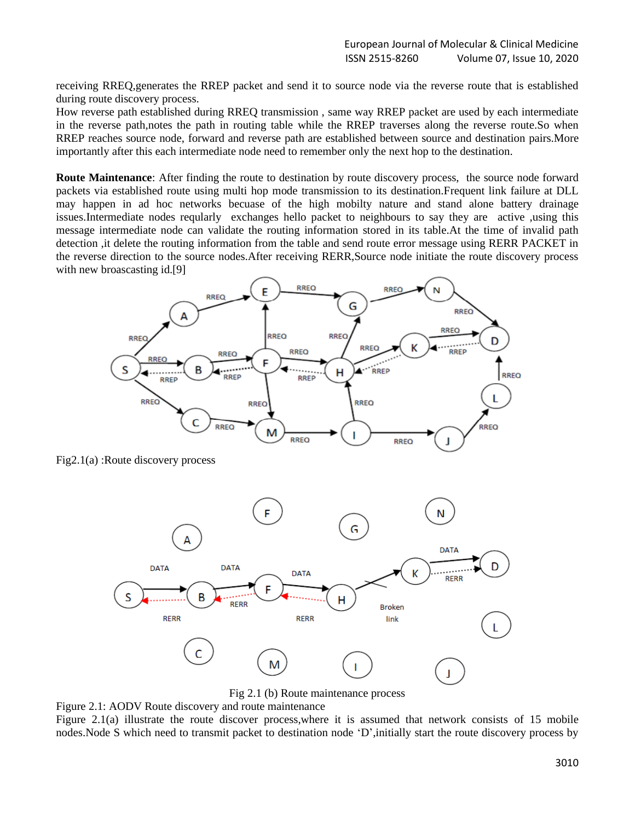receiving RREQ,generates the RREP packet and send it to source node via the reverse route that is established during route discovery process.

How reverse path established during RREQ transmission , same way RREP packet are used by each intermediate in the reverse path,notes the path in routing table while the RREP traverses along the reverse route.So when RREP reaches source node, forward and reverse path are established between source and destination pairs.More importantly after this each intermediate node need to remember only the next hop to the destination.

**Route Maintenance**: After finding the route to destination by route discovery process, the source node forward packets via established route using multi hop mode transmission to its destination.Frequent link failure at DLL may happen in ad hoc networks becuase of the high mobilty nature and stand alone battery drainage issues.Intermediate nodes reqularly exchanges hello packet to neighbours to say they are active ,using this message intermediate node can validate the routing information stored in its table.At the time of invalid path detection ,it delete the routing information from the table and send route error message using RERR PACKET in the reverse direction to the source nodes.After receiving RERR,Source node initiate the route discovery process with new broascasting id.[9]



Fig2.1(a) :Route discovery process



Fig 2.1 (b) Route maintenance process

Figure 2.1: AODV Route discovery and route maintenance

Figure 2.1(a) illustrate the route discover process,where it is assumed that network consists of 15 mobile nodes.Node S which need to transmit packet to destination node 'D',initially start the route discovery process by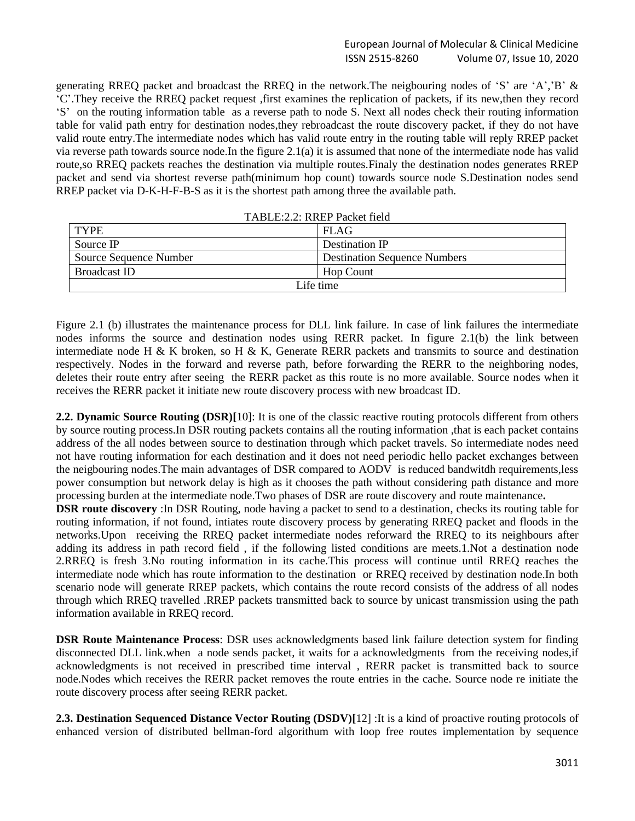generating RREQ packet and broadcast the RREQ in the network.The neigbouring nodes of 'S' are 'A','B' & 'C'.They receive the RREQ packet request ,first examines the replication of packets, if its new,then they record 'S' on the routing information table as a reverse path to node S. Next all nodes check their routing information table for valid path entry for destination nodes,they rebroadcast the route discovery packet, if they do not have valid route entry.The intermediate nodes which has valid route entry in the routing table will reply RREP packet via reverse path towards source node.In the figure 2.1(a) it is assumed that none of the intermediate node has valid route,so RREQ packets reaches the destination via multiple routes.Finaly the destination nodes generates RREP packet and send via shortest reverse path(minimum hop count) towards source node S.Destination nodes send RREP packet via D-K-H-F-B-S as it is the shortest path among three the available path.

| TABLE:2.2: RREP Packet field |                                     |  |
|------------------------------|-------------------------------------|--|
| <b>TYPE</b>                  | <b>FLAG</b>                         |  |
| Source IP                    | Destination IP                      |  |
| Source Sequence Number       | <b>Destination Sequence Numbers</b> |  |
| <b>Broadcast ID</b>          | <b>Hop Count</b>                    |  |
| Life time                    |                                     |  |

Figure 2.1 (b) illustrates the maintenance process for DLL link failure. In case of link failures the intermediate nodes informs the source and destination nodes using RERR packet. In figure 2.1(b) the link between intermediate node H & K broken, so H & K, Generate RERR packets and transmits to source and destination respectively. Nodes in the forward and reverse path, before forwarding the RERR to the neighboring nodes, deletes their route entry after seeing the RERR packet as this route is no more available. Source nodes when it receives the RERR packet it initiate new route discovery process with new broadcast ID.

**2.2. Dynamic Source Routing (DSR)[**10]: It is one of the classic reactive routing protocols different from others by source routing process.In DSR routing packets contains all the routing information ,that is each packet contains address of the all nodes between source to destination through which packet travels. So intermediate nodes need not have routing information for each destination and it does not need periodic hello packet exchanges between the neigbouring nodes.The main advantages of DSR compared to AODV is reduced bandwitdh requirements,less power consumption but network delay is high as it chooses the path without considering path distance and more processing burden at the intermediate node.Two phases of DSR are route discovery and route maintenance**.**

**DSR route discovery** :In DSR Routing, node having a packet to send to a destination, checks its routing table for routing information, if not found, intiates route discovery process by generating RREQ packet and floods in the networks.Upon receiving the RREQ packet intermediate nodes reforward the RREQ to its neighbours after adding its address in path record field , if the following listed conditions are meets.1.Not a destination node 2.RREQ is fresh 3.No routing information in its cache.This process will continue until RREQ reaches the intermediate node which has route information to the destination or RREQ received by destination node.In both scenario node will generate RREP packets, which contains the route record consists of the address of all nodes through which RREQ travelled .RREP packets transmitted back to source by unicast transmission using the path information available in RREQ record.

**DSR Route Maintenance Process**: DSR uses acknowledgments based link failure detection system for finding disconnected DLL link.when a node sends packet, it waits for a acknowledgments from the receiving nodes,if acknowledgments is not received in prescribed time interval , RERR packet is transmitted back to source node.Nodes which receives the RERR packet removes the route entries in the cache. Source node re initiate the route discovery process after seeing RERR packet.

**2.3. Destination Sequenced Distance Vector Routing (DSDV)[**12] :It is a kind of proactive routing protocols of enhanced version of distributed bellman-ford algorithum with loop free routes implementation by sequence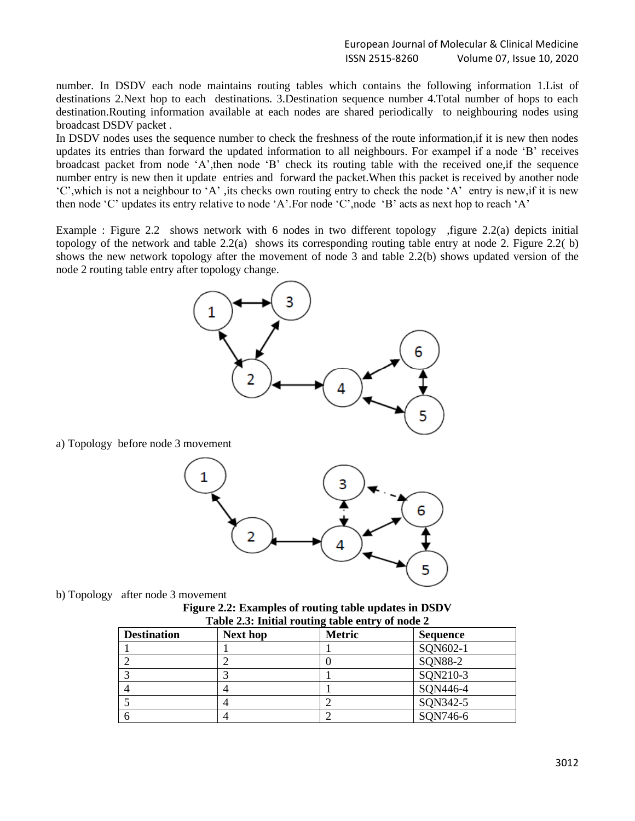number. In DSDV each node maintains routing tables which contains the following information 1.List of destinations 2.Next hop to each destinations. 3.Destination sequence number 4.Total number of hops to each destination.Routing information available at each nodes are shared periodically to neighbouring nodes using broadcast DSDV packet .

In DSDV nodes uses the sequence number to check the freshness of the route information,if it is new then nodes updates its entries than forward the updated information to all neighbours. For exampel if a node 'B' receives broadcast packet from node 'A',then node 'B' check its routing table with the received one,if the sequence number entry is new then it update entries and forward the packet.When this packet is received by another node 'C',which is not a neighbour to 'A' ,its checks own routing entry to check the node 'A' entry is new,if it is new then node 'C' updates its entry relative to node 'A'.For node 'C',node 'B' acts as next hop to reach 'A'

Example : Figure 2.2 shows network with 6 nodes in two different topology ,figure 2.2(a) depicts initial topology of the network and table 2.2(a) shows its corresponding routing table entry at node 2. Figure 2.2( b) shows the new network topology after the movement of node 3 and table 2.2(b) shows updated version of the node 2 routing table entry after topology change.



a) Topology before node 3 movement



**Figure 2.2: Examples of routing table updates in DSDV Table 2.3: Initial routing table entry of node 2**

| Table 2.0. Initial Fouring table chtr $\gamma$ of hour 2 |                 |               |                 |
|----------------------------------------------------------|-----------------|---------------|-----------------|
| <b>Destination</b>                                       | <b>Next hop</b> | <b>Metric</b> | <b>Sequence</b> |
|                                                          |                 |               | SQN602-1        |
|                                                          |                 |               | SQN88-2         |
|                                                          |                 |               | SQN210-3        |
|                                                          |                 |               | SQN446-4        |
|                                                          |                 |               | SQN342-5        |
|                                                          |                 |               | SQN746-6        |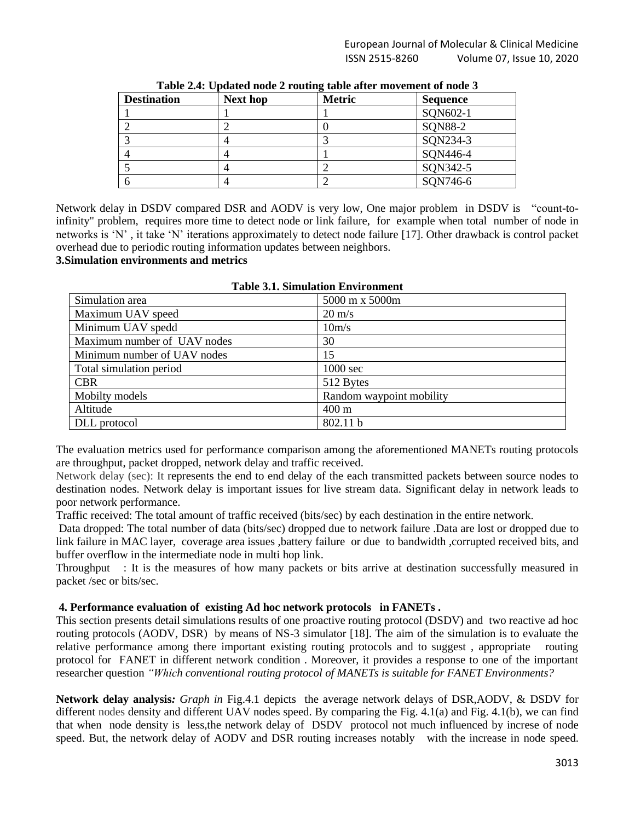|                    |                 | . .           |          |
|--------------------|-----------------|---------------|----------|
| <b>Destination</b> | <b>Next hop</b> | <b>Metric</b> | Sequence |
|                    |                 |               | SQN602-1 |
|                    | ∠               |               | SQN88-2  |
|                    |                 |               | SQN234-3 |
|                    |                 |               | SON446-4 |
|                    |                 |               | SQN342-5 |
|                    |                 |               | SQN746-6 |

**Table 2.4: Updated node 2 routing table after movement of node 3**

Network delay in DSDV compared DSR and AODV is very low, One major problem in DSDV is "count-toinfinity" problem, requires more time to detect node or link failure, for example when total number of node in networks is 'N' , it take 'N' iterations approximately to detect node failure [17]. Other drawback is control packet overhead due to periodic routing information updates between neighbors.

**3.Simulation environments and metrics** 

| Simulation area             | 5000 m x 5000m           |  |  |
|-----------------------------|--------------------------|--|--|
| Maximum UAV speed           | $20 \text{ m/s}$         |  |  |
| Minimum UAV spedd           | 10m/s                    |  |  |
| Maximum number of UAV nodes | 30                       |  |  |
| Minimum number of UAV nodes | 15                       |  |  |
| Total simulation period     | 1000 sec                 |  |  |
| <b>CBR</b>                  | 512 Bytes                |  |  |
| Mobilty models              | Random waypoint mobility |  |  |
| Altitude                    | $400 \text{ m}$          |  |  |
| DLL protocol                | 802.11 b                 |  |  |

|  |  | <b>Table 3.1. Simulation Environment</b> |
|--|--|------------------------------------------|
|--|--|------------------------------------------|

The evaluation metrics used for performance comparison among the aforementioned MANETs routing protocols are throughput, packet dropped, network delay and traffic received.

Network delay (sec): It represents the end to end delay of the each transmitted packets between source nodes to destination nodes. Network delay is important issues for live stream data. Significant delay in network leads to poor network performance.

Traffic received: The total amount of traffic received (bits/sec) by each destination in the entire network.

Data dropped: The total number of data (bits/sec) dropped due to network failure .Data are lost or dropped due to link failure in MAC layer, coverage area issues ,battery failure or due to bandwidth ,corrupted received bits, and buffer overflow in the intermediate node in multi hop link.

Throughput : It is the measures of how many packets or bits arrive at destination successfully measured in packet /sec or bits/sec.

### **4. Performance evaluation of existing Ad hoc network protocols in FANETs .**

This section presents detail simulations results of one proactive routing protocol (DSDV) and two reactive ad hoc routing protocols (AODV, DSR) by means of NS-3 simulator [18]. The aim of the simulation is to evaluate the relative performance among there important existing routing protocols and to suggest , appropriate routing protocol for FANET in different network condition . Moreover, it provides a response to one of the important researcher question *"Which conventional routing protocol of MANETs is suitable for FANET Environments?*

**Network delay analysis***: Graph in* Fig.4.1 depicts the average network delays of DSR,AODV, & DSDV for different nodes density and different UAV nodes speed. By comparing the Fig. 4.1(a) and Fig. 4.1(b), we can find that when node density is less,the network delay of DSDV protocol not much influenced by increse of node speed. But, the network delay of AODV and DSR routing increases notably with the increase in node speed.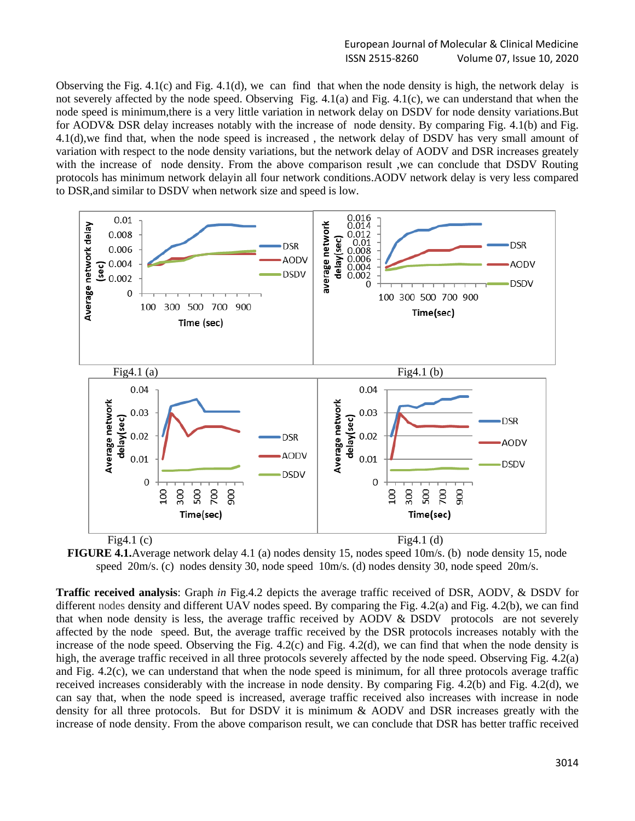### European Journal of Molecular & Clinical Medicine ISSN 2515-8260 Volume 07, Issue 10, 2020

Observing the Fig. 4.1(c) and Fig. 4.1(d), we can find that when the node density is high, the network delay is not severely affected by the node speed. Observing Fig. 4.1(a) and Fig. 4.1(c), we can understand that when the node speed is minimum,there is a very little variation in network delay on DSDV for node density variations.But for AODV& DSR delay increases notably with the increase of node density. By comparing Fig. 4.1(b) and Fig. 4.1(d),we find that, when the node speed is increased , the network delay of DSDV has very small amount of variation with respect to the node density variations, but the network delay of AODV and DSR increases greately with the increase of node density. From the above comparison result, we can conclude that DSDV Routing protocols has minimum network delayin all four network conditions.AODV network delay is very less compared to DSR,and similar to DSDV when network size and speed is low.



**FIGURE 4.1.**Average network delay 4.1 (a) nodes density 15, nodes speed 10m/s. (b) node density 15, node speed 20m/s. (c) nodes density 30, node speed 10m/s. (d) nodes density 30, node speed 20m/s.

**Traffic received analysis**: Graph *in* Fig.4.2 depicts the average traffic received of DSR, AODV, & DSDV for different nodes density and different UAV nodes speed. By comparing the Fig. 4.2(a) and Fig. 4.2(b), we can find that when node density is less, the average traffic received by AODV & DSDV protocols are not severely affected by the node speed. But, the average traffic received by the DSR protocols increases notably with the increase of the node speed. Observing the Fig. 4.2(c) and Fig. 4.2(d), we can find that when the node density is high, the average traffic received in all three protocols severely affected by the node speed. Observing Fig. 4.2(a) and Fig. 4.2(c), we can understand that when the node speed is minimum, for all three protocols average traffic received increases considerably with the increase in node density. By comparing Fig. 4.2(b) and Fig. 4.2(d), we can say that, when the node speed is increased, average traffic received also increases with increase in node density for all three protocols. But for DSDV it is minimum & AODV and DSR increases greatly with the increase of node density. From the above comparison result, we can conclude that DSR has better traffic received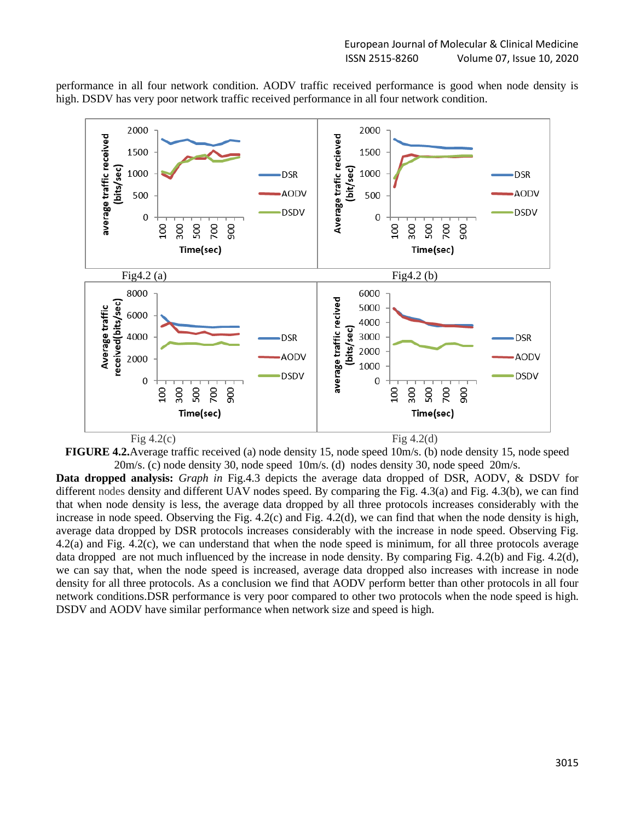performance in all four network condition. AODV traffic received performance is good when node density is high. DSDV has very poor network traffic received performance in all four network condition.



**FIGURE 4.2.**Average traffic received (a) node density 15, node speed 10m/s. (b) node density 15, node speed 20m/s. (c) node density 30, node speed 10m/s. (d) nodes density 30, node speed 20m/s.

**Data dropped analysis:** *Graph in* Fig.4.3 depicts the average data dropped of DSR, AODV, & DSDV for different nodes density and different UAV nodes speed. By comparing the Fig. 4.3(a) and Fig. 4.3(b), we can find that when node density is less, the average data dropped by all three protocols increases considerably with the increase in node speed. Observing the Fig. 4.2(c) and Fig. 4.2(d), we can find that when the node density is high, average data dropped by DSR protocols increases considerably with the increase in node speed. Observing Fig. 4.2(a) and Fig. 4.2(c), we can understand that when the node speed is minimum, for all three protocols average data dropped are not much influenced by the increase in node density. By comparing Fig. 4.2(b) and Fig. 4.2(d), we can say that, when the node speed is increased, average data dropped also increases with increase in node density for all three protocols. As a conclusion we find that AODV perform better than other protocols in all four network conditions.DSR performance is very poor compared to other two protocols when the node speed is high. DSDV and AODV have similar performance when network size and speed is high.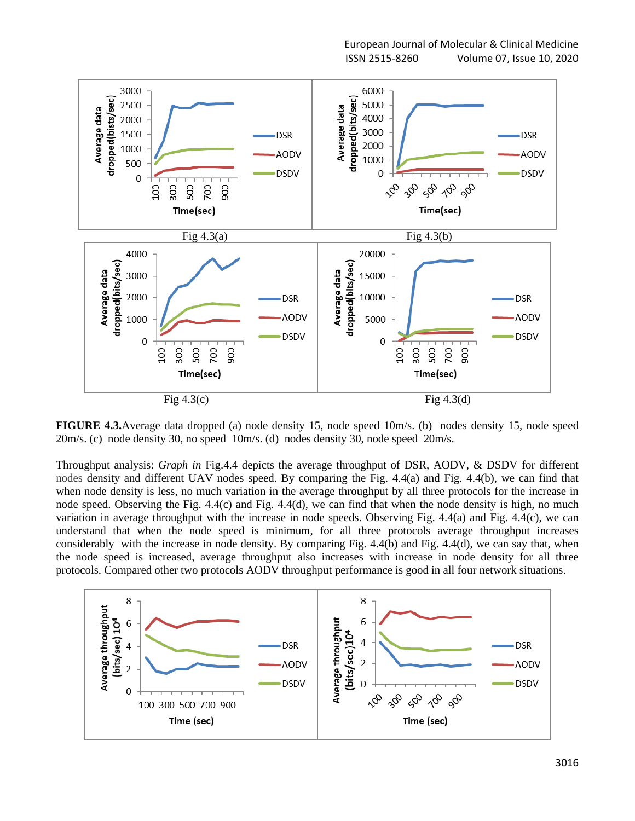

**FIGURE 4.3.**Average data dropped (a) node density 15, node speed 10m/s. (b) nodes density 15, node speed 20m/s. (c) node density 30, no speed 10m/s. (d) nodes density 30, node speed 20m/s.

Throughput analysis: *Graph in* Fig.4.4 depicts the average throughput of DSR, AODV, & DSDV for different nodes density and different UAV nodes speed. By comparing the Fig. 4.4(a) and Fig. 4.4(b), we can find that when node density is less, no much variation in the average throughput by all three protocols for the increase in node speed. Observing the Fig. 4.4(c) and Fig. 4.4(d), we can find that when the node density is high, no much variation in average throughput with the increase in node speeds. Observing Fig. 4.4(a) and Fig. 4.4(c), we can understand that when the node speed is minimum, for all three protocols average throughput increases considerably with the increase in node density. By comparing Fig. 4.4(b) and Fig. 4.4(d), we can say that, when the node speed is increased, average throughput also increases with increase in node density for all three protocols. Compared other two protocols AODV throughput performance is good in all four network situations.

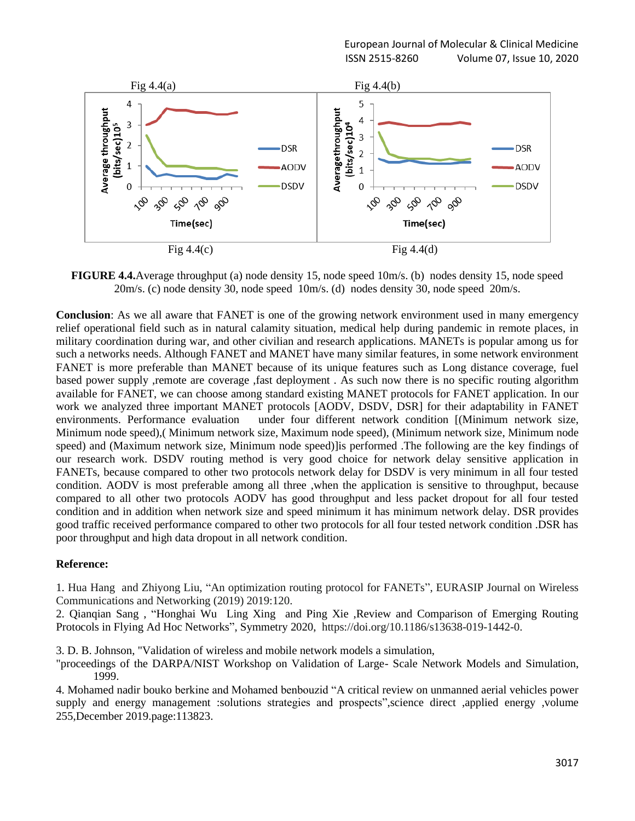

**FIGURE 4.4.**Average throughput (a) node density 15, node speed 10m/s. (b) nodes density 15, node speed 20m/s. (c) node density 30, node speed 10m/s. (d) nodes density 30, node speed 20m/s.

**Conclusion**: As we all aware that FANET is one of the growing network environment used in many emergency relief operational field such as in natural calamity situation, medical help during pandemic in remote places, in military coordination during war, and other civilian and research applications. MANETs is popular among us for such a networks needs. Although FANET and MANET have many similar features, in some network environment FANET is more preferable than MANET because of its unique features such as Long distance coverage, fuel based power supply ,remote are coverage ,fast deployment . As such now there is no specific routing algorithm available for FANET, we can choose among standard existing MANET protocols for FANET application. In our work we analyzed three important MANET protocols [AODV, DSDV, DSR] for their adaptability in FANET environments. Performance evaluation under four different network condition [(Minimum network size, Minimum node speed),( Minimum network size, Maximum node speed), (Minimum network size, Minimum node speed) and (Maximum network size, Minimum node speed)]is performed .The following are the key findings of our research work. DSDV routing method is very good choice for network delay sensitive application in FANETs, because compared to other two protocols network delay for DSDV is very minimum in all four tested condition. AODV is most preferable among all three ,when the application is sensitive to throughput, because compared to all other two protocols AODV has good throughput and less packet dropout for all four tested condition and in addition when network size and speed minimum it has minimum network delay. DSR provides good traffic received performance compared to other two protocols for all four tested network condition .DSR has poor throughput and high data dropout in all network condition.

### **Reference:**

1. Hua Hang and Zhiyong Liu, "An optimization routing protocol for FANETs", EURASIP Journal on Wireless Communications and Networking (2019) 2019:120.

2. Qianqian Sang , "Honghai Wu Ling Xing and Ping Xie ,Review and Comparison of Emerging Routing Protocols in Flying Ad Hoc Networks", Symmetry 2020, https://doi.org/10.1186/s13638-019-1442-0.

3. D. B. Johnson, "Validation of wireless and mobile network models a simulation,

"proceedings of the DARPA/NIST Workshop on Validation of Large- Scale Network Models and Simulation, 1999.

4. Mohamed nadir bouko berkine and Mohamed benbouzid "A critical review on unmanned aerial vehicles power supply and energy management :solutions strategies and prospects",science direct ,applied energy ,volume 255,December 2019.page:113823.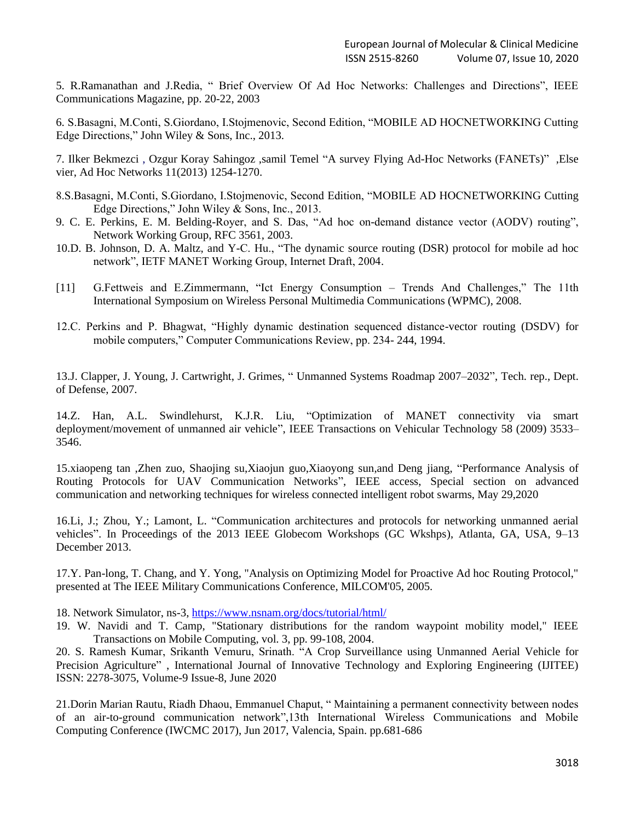5. R.Ramanathan and J.Redia, " Brief Overview Of Ad Hoc Networks: Challenges and Directions", IEEE Communications Magazine, pp. 20-22, 2003

6. S.Basagni, M.Conti, S.Giordano, I.Stojmenovic, Second Edition, "MOBILE AD HOCNETWORKING Cutting Edge Directions," John Wiley & Sons, Inc., 2013.

7. Ilker Bekmezci , Ozgur Koray Sahingoz ,samil Temel "A survey Flying Ad-Hoc Networks (FANETs)" ,Else vier, Ad Hoc Networks 11(2013) 1254-1270.

- 8.S.Basagni, M.Conti, S.Giordano, I.Stojmenovic, Second Edition, "MOBILE AD HOCNETWORKING Cutting Edge Directions," John Wiley & Sons, Inc., 2013.
- 9. C. E. Perkins, E. M. Belding-Royer, and S. Das, "Ad hoc on-demand distance vector (AODV) routing", Network Working Group, RFC 3561, 2003.
- 10.D. B. Johnson, D. A. Maltz, and Y-C. Hu., "The dynamic source routing (DSR) protocol for mobile ad hoc network", IETF MANET Working Group, Internet Draft, 2004.
- [11] G.Fettweis and E.Zimmermann, "Ict Energy Consumption Trends And Challenges," The 11th International Symposium on Wireless Personal Multimedia Communications (WPMC), 2008.
- 12.C. Perkins and P. Bhagwat, "Highly dynamic destination sequenced distance-vector routing (DSDV) for mobile computers," Computer Communications Review, pp. 234- 244, 1994.

13.J. Clapper, J. Young, J. Cartwright, J. Grimes, " Unmanned Systems Roadmap 2007–2032", Tech. rep., Dept. of Defense, 2007.

14.Z. Han, A.L. Swindlehurst, K.J.R. Liu, "Optimization of MANET connectivity via smart deployment/movement of unmanned air vehicle", IEEE Transactions on Vehicular Technology 58 (2009) 3533– 3546.

15.xiaopeng tan ,Zhen zuo, Shaojing su,Xiaojun guo,Xiaoyong sun,and Deng jiang, "Performance Analysis of Routing Protocols for UAV Communication Networks", IEEE access, Special section on advanced communication and networking techniques for wireless connected intelligent robot swarms, May 29,2020

16.Li, J.; Zhou, Y.; Lamont, L. "Communication architectures and protocols for networking unmanned aerial vehicles". In Proceedings of the 2013 IEEE Globecom Workshops (GC Wkshps), Atlanta, GA, USA, 9–13 December 2013.

17.Y. Pan-long, T. Chang, and Y. Yong, "Analysis on Optimizing Model for Proactive Ad hoc Routing Protocol," presented at The IEEE Military Communications Conference, MILCOM'05, 2005.

18. Network Simulator, ns-3,<https://www.nsnam.org/docs/tutorial/html/>

19. W. Navidi and T. Camp, "Stationary distributions for the random waypoint mobility model," IEEE Transactions on Mobile Computing, vol. 3, pp. 99-108, 2004.

20. S. Ramesh Kumar, Srikanth Vemuru, Srinath. "A Crop Surveillance using Unmanned Aerial Vehicle for Precision Agriculture" , International Journal of Innovative Technology and Exploring Engineering (IJITEE) ISSN: 2278-3075, Volume-9 Issue-8, June 2020

21.Dorin Marian Rautu, Riadh Dhaou, Emmanuel Chaput, " Maintaining a permanent connectivity between nodes of an air-to-ground communication network",13th International Wireless Communications and Mobile Computing Conference (IWCMC 2017), Jun 2017, Valencia, Spain. pp.681-686